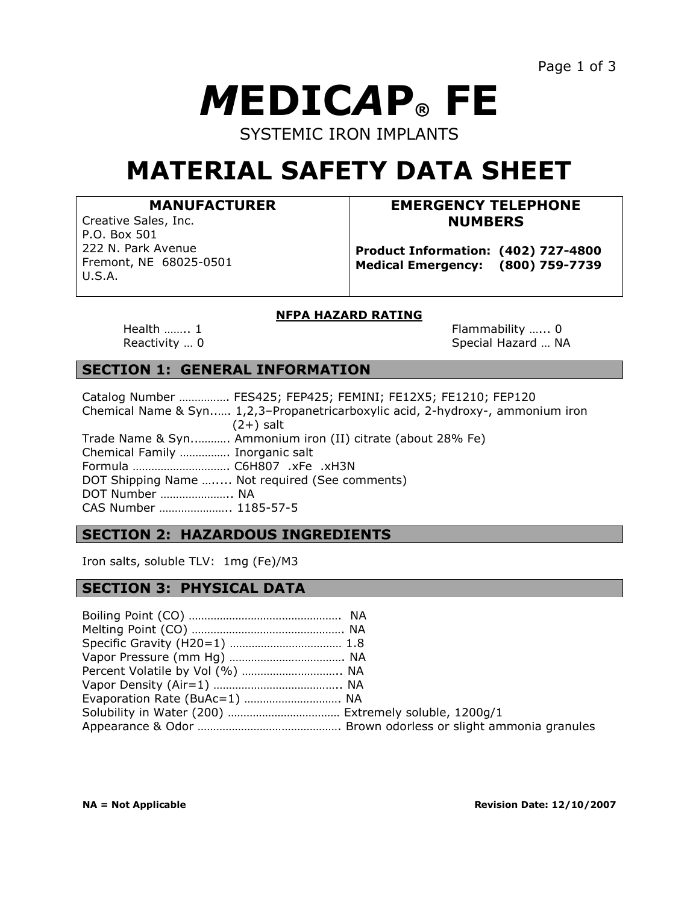# *M***EDIC***A***P® FE** SYSTEMIC IRON IMPLANTS

## **MATERIAL SAFETY DATA SHEET**

### **MANUFACTURER**

Creative Sales, Inc. P.O. Box 501 222 N. Park Avenue Fremont, NE 68025-0501 U.S.A.

### **EMERGENCY TELEPHONE NUMBERS**

**Product Information: (402) 727-4800 Medical Emergency: (800) 759-7739**

### **NFPA HAZARD RATING**

Health …….. 1 **Flammability …..** 0 Reactivity ... 0 Special Hazard ... NA

### **SECTION 1: GENERAL INFORMATION**

|                                 | Catalog Number  FES425; FEP425; FEMINI; FE12X5; FE1210; FEP120                 |
|---------------------------------|--------------------------------------------------------------------------------|
|                                 | Chemical Name & Syn 1,2,3-Propanetricarboxylic acid, 2-hydroxy-, ammonium iron |
|                                 | $(2+)$ salt                                                                    |
|                                 | Trade Name & Syn Ammonium iron (II) citrate (about 28% Fe)                     |
| Chemical Family  Inorganic salt |                                                                                |
| Formula  C6H807 .xFe .xH3N      |                                                                                |
|                                 | DOT Shipping Name  Not required (See comments)                                 |
| DOT Number  NA                  |                                                                                |
| CAS Number  1185-57-5           |                                                                                |

### **SECTION 2: HAZARDOUS INGREDIENTS**

Iron salts, soluble TLV: 1mg (Fe)/M3

### **SECTION 3: PHYSICAL DATA**

| Evaporation Rate (BuAc=1)  NA |  |
|-------------------------------|--|
|                               |  |
|                               |  |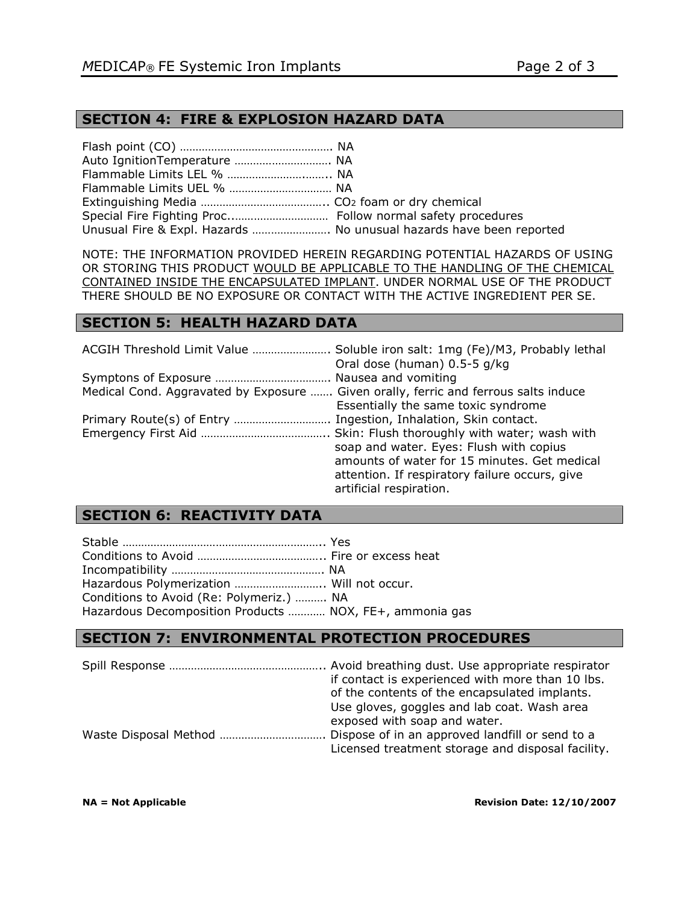### **SECTION 4: FIRE & EXPLOSION HAZARD DATA**

| Auto IgnitionTemperature  NA                                        |  |
|---------------------------------------------------------------------|--|
|                                                                     |  |
|                                                                     |  |
|                                                                     |  |
|                                                                     |  |
| Unusual Fire & Expl. Hazards  No unusual hazards have been reported |  |

NOTE: THE INFORMATION PROVIDED HEREIN REGARDING POTENTIAL HAZARDS OF USING OR STORING THIS PRODUCT WOULD BE APPLICABLE TO THE HANDLING OF THE CHEMICAL CONTAINED INSIDE THE ENCAPSULATED IMPLANT. UNDER NORMAL USE OF THE PRODUCT THERE SHOULD BE NO EXPOSURE OR CONTACT WITH THE ACTIVE INGREDIENT PER SE.

### **SECTION 5: HEALTH HAZARD DATA**

| ACGIH Threshold Limit Value  Soluble iron salt: 1mg (Fe)/M3, Probably lethal<br>Oral dose (human) 0.5-5 g/kg               |
|----------------------------------------------------------------------------------------------------------------------------|
|                                                                                                                            |
| Medical Cond. Aggravated by Exposure  Given orally, ferric and ferrous salts induce<br>Essentially the same toxic syndrome |
|                                                                                                                            |
|                                                                                                                            |
|                                                                                                                            |
| soap and water. Eyes: Flush with copius                                                                                    |
| amounts of water for 15 minutes. Get medical                                                                               |
| attention. If respiratory failure occurs, give<br>artificial respiration.                                                  |
|                                                                                                                            |

### **SECTION 6: REACTIVITY DATA**

| Hazardous Polymerization  Will not occur.               |  |
|---------------------------------------------------------|--|
| Conditions to Avoid (Re: Polymeriz.)  NA                |  |
| Hazardous Decomposition Products  NOX, FE+, ammonia gas |  |

### **SECTION 7: ENVIRONMENTAL PROTECTION PROCEDURES**

| if contact is experienced with more than 10 lbs.<br>of the contents of the encapsulated implants.<br>Use gloves, goggles and lab coat. Wash area<br>exposed with soap and water. |
|----------------------------------------------------------------------------------------------------------------------------------------------------------------------------------|
| Licensed treatment storage and disposal facility.                                                                                                                                |